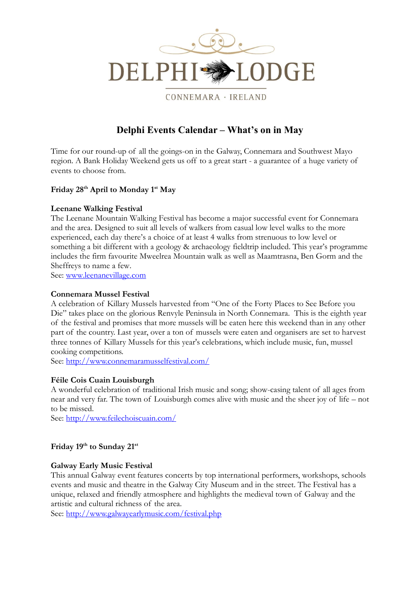

CONNEMARA · IRELAND

# **Delphi Events Calendar – What's on in May**

Time for our round-up of all the goings-on in the Galway, Connemara and Southwest Mayo region. A Bank Holiday Weekend gets us off to a great start - a guarantee of a huge variety of events to choose from.

# **Friday 28 th April to Monday 1st May**

## **Leenane Walking Festival**

The Leenane Mountain Walking Festival has become a major successful event for Connemara and the area. Designed to suit all levels of walkers from casual low level walks to the more experienced, each day there's a choice of at least 4 walks from strenuous to low level or something a bit different with a geology & archaeology fieldtrip included. This year's programme includes the firm favourite Mweelrea Mountain walk as well as Maamtrasna, Ben Gorm and the Sheffreys to name a few.

See: [www.leenanevillage.com](http://www.leenanevillage.com/)

#### **Connemara Mussel Festival**

A celebration of Killary Mussels harvested from "One of the Forty Places to See Before you Die" takes place on the glorious Renvyle Peninsula in North Connemara. This is the eighth year of the festival and promises that more mussels will be eaten here this weekend than in any other part of the country. Last year, over a ton of mussels were eaten and organisers are set to harvest three tonnes of Killary Mussels for this year's celebrations, which include music, fun, mussel cooking competitions.

See: <http://www.connemaramusselfestival.com/>

## **Féile Cois Cuain Louisburgh**

A wonderful celebration of traditional Irish music and song; show-casing talent of all ages from near and very far. The town of Louisburgh comes alive with music and the sheer joy of life – not to be missed.

See:<http://www.feilechoiscuain.com/>

# **Friday 19 th to Sunday 21st**

## **Galway Early Music Festival**

This annual Galway event features concerts by top international performers, workshops, schools events and music and theatre in the Galway City Museum and in the street. The Festival has a unique, relaxed and friendly atmosphere and highlights the medieval town of Galway and the artistic and cultural richness of the area.

See:<http://www.galwayearlymusic.com/festival.php>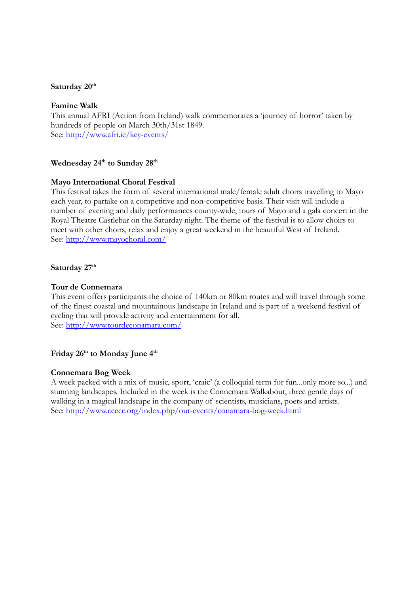#### **Saturday 20th**

#### **Famine Walk**

This annual AFRI (Action from Ireland) walk commemorates a 'journey of horror' taken by hundreds of people on March 30th/31st 1849. See: <http://www.afri.ie/key-events/>

# **Wednesday 24 th to Sunday 28th**

#### **Mayo International Choral Festival**

This festival takes the form of several international male/female adult choirs travelling to Mayo each year, to partake on a competitive and non-competitive basis. Their visit will include a number of evening and daily performances county-wide, tours of Mayo and a gala concert in the Royal Theatre Castlebar on the Saturday night. The theme of the festival is to allow choirs to meet with other choirs, relax and enjoy a great weekend in the beautiful West of Ireland. See:<http://www.mayochoral.com/>

## Saturday 27<sup>th</sup>

#### **Tour de Connemara**

This event offers participants the choice of 140km or 80km routes and will travel through some of the finest coastal and mountainous landscape in Ireland and is part of a weekend festival of cycling that will provide activity and entertainment for all. See: <http://www.tourdeconamara.com/>

# **Friday 26 th to Monday June 4th**

#### **Connemara Bog Week**

A week packed with a mix of music, sport, 'craic' (a colloquial term for fun...only more so...) and stunning landscapes. Included in the week is the Connemara Walkabout, three gentle days of walking in a magical landscape in the company of scientists, musicians, poets and artists. See:<http://www.ceecc.org/index.php/our-events/conamara-bog-week.html>